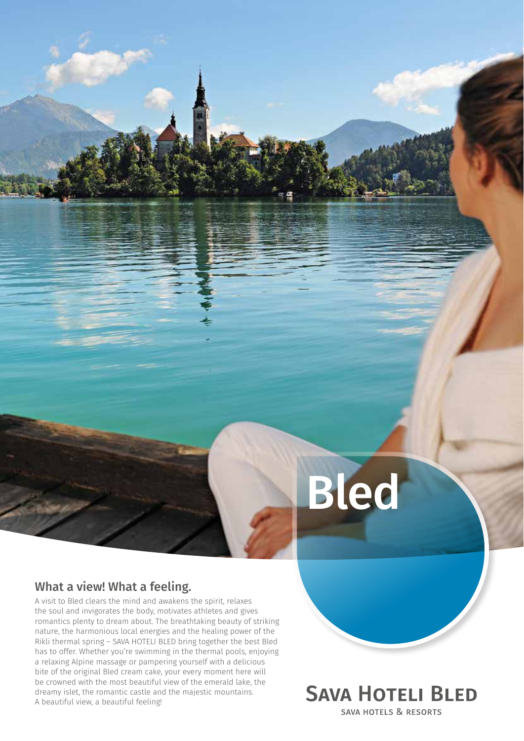# Bled

## What a view! What a feeling.

A visit to Bled clears the mind and awakens the spirit, relaxes the soul and invigorates the body, motivates athletes and gives romantics plenty to dream about. The breathtaking beauty of striking nature, the harmonious local energies and the healing power of the Rikli thermal spring – SAVA HOTELI BLED bring together the best Bled has to offer. Whether you're swimming in the thermal pools, enjoying a relaxing Alpine massage or pampering yourself with a delicious bite of the original Bled cream cake, your every moment here will be crowned with the most beautiful view of the emerald lake, the dreamy islet, the romantic castle and the majestic mountains. A beautiful view, a beautiful feeling!

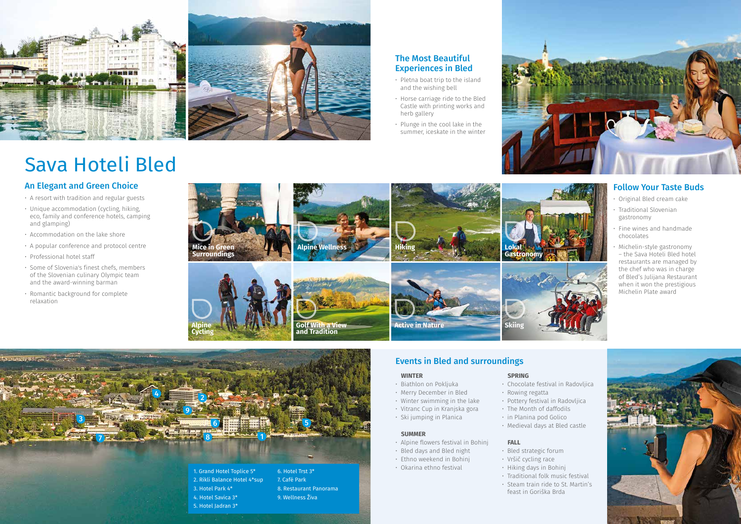# Events in Bled and surroundings

#### **WINTER**

- Biathlon on Pokljuka
- Merry December in Bled
- Winter swimming in the lake
- Vitranc Cup in Kranjska gora
- Ski jumping in Planica

#### **SUMMER**

- Alpine flowers festival in Bohinj
- Bled days and Bled night
- Ethno weekend in Bohinj
- Okarina ethno festival

#### **SPRING**

- Chocolate festival in Radovljica
- Rowing regatta
- Pottery festival in Radovljica
- The Month of daffodils
	- in Planina pod Golico
	- Medieval days at Bled castle

#### **FALL**

- Bled strategic forum • Vršič cycling race
- Hiking days in Bohinj
- 
- Traditional folk music festival • Steam train ride to St. Martin's feast in Goriška Brda



# An Elegant and Green Choice

- A resort with tradition and regular guests
- Unique accommodation (cycling, hiking, eco, family and conference hotels, camping and glamping)
- Accommodation on the lake shore
- A popular conference and protocol centre
- Professional hotel staff
- Some of Slovenia's finest chefs, members of the Slovenian culinary Olympic team and the award-winning barman
- Romantic background for complete relaxation





## The Most Beautiful Experiences in Bled

- Pletna boat trip to the island and the wishing bell
- Horse carriage ride to the Bled Castle with printing works and herb gallery
- Plunge in the cool lake in the summer, iceskate in the winter



### Follow Your Taste Buds

- Original Bled cream cake
- Traditional Slovenian gastronomy
- Fine wines and handmade chocolates
- Michelin-style gastronomy – the Sava Hoteli Bled hotel restaurants are managed by the chef who was in charge of Bled's Julijana Restaurant when it won the prestigious Michelin Plate award



# Sava Hoteli Bled